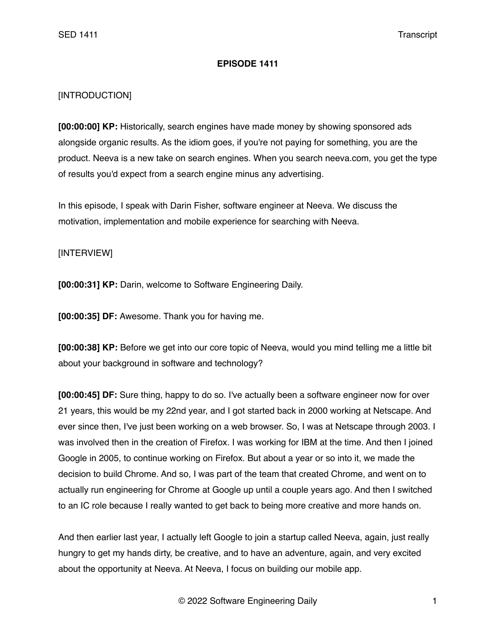## **EPISODE 1411**

## [INTRODUCTION]

**[00:00:00] KP:** Historically, search engines have made money by showing sponsored ads alongside organic results. As the idiom goes, if you're not paying for something, you are the product. Neeva is a new take on search engines. When you search neeva.com, you get the type of results you'd expect from a search engine minus any advertising.

In this episode, I speak with Darin Fisher, software engineer at Neeva. We discuss the motivation, implementation and mobile experience for searching with Neeva.

## [INTERVIEW]

**[00:00:31] KP:** Darin, welcome to Software Engineering Daily.

**[00:00:35] DF:** Awesome. Thank you for having me.

**[00:00:38] KP:** Before we get into our core topic of Neeva, would you mind telling me a little bit about your background in software and technology?

**[00:00:45] DF:** Sure thing, happy to do so. I've actually been a software engineer now for over 21 years, this would be my 22nd year, and I got started back in 2000 working at Netscape. And ever since then, I've just been working on a web browser. So, I was at Netscape through 2003. I was involved then in the creation of Firefox. I was working for IBM at the time. And then I joined Google in 2005, to continue working on Firefox. But about a year or so into it, we made the decision to build Chrome. And so, I was part of the team that created Chrome, and went on to actually run engineering for Chrome at Google up until a couple years ago. And then I switched to an IC role because I really wanted to get back to being more creative and more hands on.

And then earlier last year, I actually left Google to join a startup called Neeva, again, just really hungry to get my hands dirty, be creative, and to have an adventure, again, and very excited about the opportunity at Neeva. At Neeva, I focus on building our mobile app.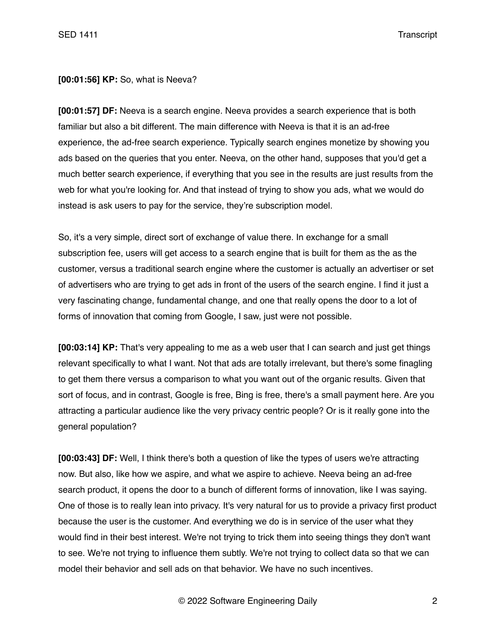**[00:01:56] KP:** So, what is Neeva?

**[00:01:57] DF:** Neeva is a search engine. Neeva provides a search experience that is both familiar but also a bit different. The main difference with Neeva is that it is an ad-free experience, the ad-free search experience. Typically search engines monetize by showing you ads based on the queries that you enter. Neeva, on the other hand, supposes that you'd get a much better search experience, if everything that you see in the results are just results from the web for what you're looking for. And that instead of trying to show you ads, what we would do instead is ask users to pay for the service, they're subscription model.

So, it's a very simple, direct sort of exchange of value there. In exchange for a small subscription fee, users will get access to a search engine that is built for them as the as the customer, versus a traditional search engine where the customer is actually an advertiser or set of advertisers who are trying to get ads in front of the users of the search engine. I find it just a very fascinating change, fundamental change, and one that really opens the door to a lot of forms of innovation that coming from Google, I saw, just were not possible.

**[00:03:14] KP:** That's very appealing to me as a web user that I can search and just get things relevant specifically to what I want. Not that ads are totally irrelevant, but there's some finagling to get them there versus a comparison to what you want out of the organic results. Given that sort of focus, and in contrast, Google is free, Bing is free, there's a small payment here. Are you attracting a particular audience like the very privacy centric people? Or is it really gone into the general population?

**[00:03:43] DF:** Well, I think there's both a question of like the types of users we're attracting now. But also, like how we aspire, and what we aspire to achieve. Neeva being an ad-free search product, it opens the door to a bunch of different forms of innovation, like I was saying. One of those is to really lean into privacy. It's very natural for us to provide a privacy first product because the user is the customer. And everything we do is in service of the user what they would find in their best interest. We're not trying to trick them into seeing things they don't want to see. We're not trying to influence them subtly. We're not trying to collect data so that we can model their behavior and sell ads on that behavior. We have no such incentives.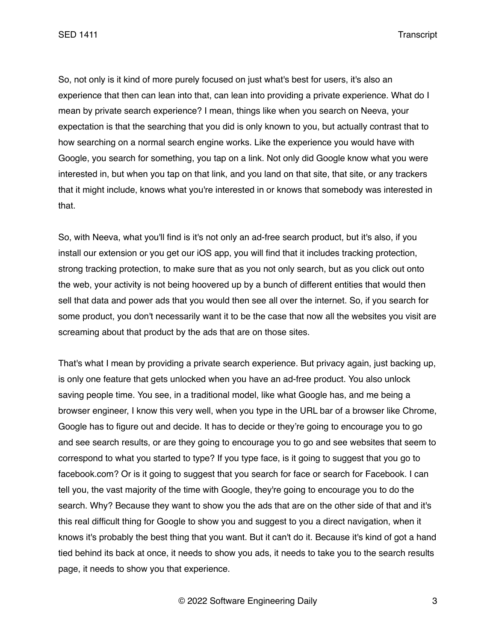SED 1411 Transcript

So, not only is it kind of more purely focused on just what's best for users, it's also an experience that then can lean into that, can lean into providing a private experience. What do I mean by private search experience? I mean, things like when you search on Neeva, your expectation is that the searching that you did is only known to you, but actually contrast that to how searching on a normal search engine works. Like the experience you would have with Google, you search for something, you tap on a link. Not only did Google know what you were interested in, but when you tap on that link, and you land on that site, that site, or any trackers that it might include, knows what you're interested in or knows that somebody was interested in that.

So, with Neeva, what you'll find is it's not only an ad-free search product, but it's also, if you install our extension or you get our iOS app, you will find that it includes tracking protection, strong tracking protection, to make sure that as you not only search, but as you click out onto the web, your activity is not being hoovered up by a bunch of different entities that would then sell that data and power ads that you would then see all over the internet. So, if you search for some product, you don't necessarily want it to be the case that now all the websites you visit are screaming about that product by the ads that are on those sites.

That's what I mean by providing a private search experience. But privacy again, just backing up, is only one feature that gets unlocked when you have an ad-free product. You also unlock saving people time. You see, in a traditional model, like what Google has, and me being a browser engineer, I know this very well, when you type in the URL bar of a browser like Chrome, Google has to figure out and decide. It has to decide or they're going to encourage you to go and see search results, or are they going to encourage you to go and see websites that seem to correspond to what you started to type? If you type face, is it going to suggest that you go to facebook.com? Or is it going to suggest that you search for face or search for Facebook. I can tell you, the vast majority of the time with Google, they're going to encourage you to do the search. Why? Because they want to show you the ads that are on the other side of that and it's this real difficult thing for Google to show you and suggest to you a direct navigation, when it knows it's probably the best thing that you want. But it can't do it. Because it's kind of got a hand tied behind its back at once, it needs to show you ads, it needs to take you to the search results page, it needs to show you that experience.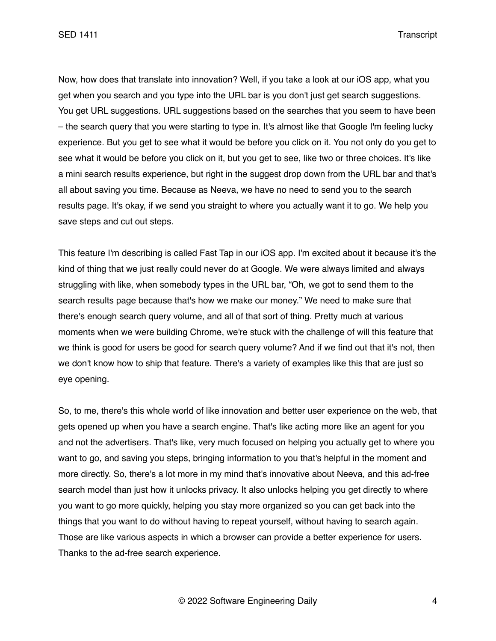SED 1411 Transcript

Now, how does that translate into innovation? Well, if you take a look at our iOS app, what you get when you search and you type into the URL bar is you don't just get search suggestions. You get URL suggestions. URL suggestions based on the searches that you seem to have been – the search query that you were starting to type in. It's almost like that Google I'm feeling lucky experience. But you get to see what it would be before you click on it. You not only do you get to see what it would be before you click on it, but you get to see, like two or three choices. It's like a mini search results experience, but right in the suggest drop down from the URL bar and that's all about saving you time. Because as Neeva, we have no need to send you to the search results page. It's okay, if we send you straight to where you actually want it to go. We help you save steps and cut out steps.

This feature I'm describing is called Fast Tap in our iOS app. I'm excited about it because it's the kind of thing that we just really could never do at Google. We were always limited and always struggling with like, when somebody types in the URL bar, "Oh, we got to send them to the search results page because that's how we make our money." We need to make sure that there's enough search query volume, and all of that sort of thing. Pretty much at various moments when we were building Chrome, we're stuck with the challenge of will this feature that we think is good for users be good for search query volume? And if we find out that it's not, then we don't know how to ship that feature. There's a variety of examples like this that are just so eye opening.

So, to me, there's this whole world of like innovation and better user experience on the web, that gets opened up when you have a search engine. That's like acting more like an agent for you and not the advertisers. That's like, very much focused on helping you actually get to where you want to go, and saving you steps, bringing information to you that's helpful in the moment and more directly. So, there's a lot more in my mind that's innovative about Neeva, and this ad-free search model than just how it unlocks privacy. It also unlocks helping you get directly to where you want to go more quickly, helping you stay more organized so you can get back into the things that you want to do without having to repeat yourself, without having to search again. Those are like various aspects in which a browser can provide a better experience for users. Thanks to the ad-free search experience.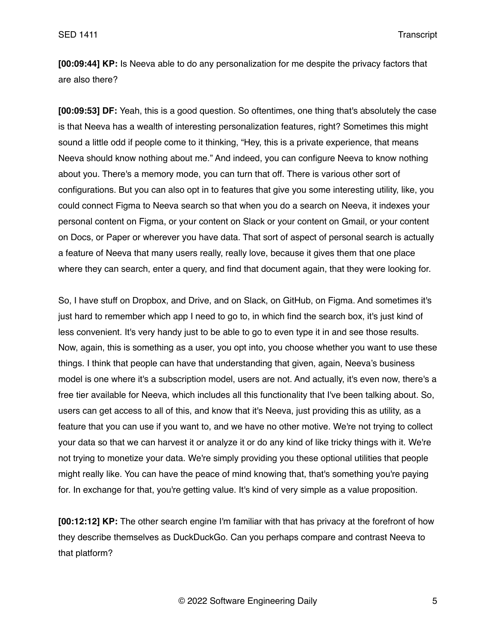**[00:09:44] KP:** Is Neeva able to do any personalization for me despite the privacy factors that are also there?

**[00:09:53] DF:** Yeah, this is a good question. So oftentimes, one thing that's absolutely the case is that Neeva has a wealth of interesting personalization features, right? Sometimes this might sound a little odd if people come to it thinking, "Hey, this is a private experience, that means Neeva should know nothing about me." And indeed, you can configure Neeva to know nothing about you. There's a memory mode, you can turn that off. There is various other sort of configurations. But you can also opt in to features that give you some interesting utility, like, you could connect Figma to Neeva search so that when you do a search on Neeva, it indexes your personal content on Figma, or your content on Slack or your content on Gmail, or your content on Docs, or Paper or wherever you have data. That sort of aspect of personal search is actually a feature of Neeva that many users really, really love, because it gives them that one place where they can search, enter a query, and find that document again, that they were looking for.

So, I have stuff on Dropbox, and Drive, and on Slack, on GitHub, on Figma. And sometimes it's just hard to remember which app I need to go to, in which find the search box, it's just kind of less convenient. It's very handy just to be able to go to even type it in and see those results. Now, again, this is something as a user, you opt into, you choose whether you want to use these things. I think that people can have that understanding that given, again, Neeva's business model is one where it's a subscription model, users are not. And actually, it's even now, there's a free tier available for Neeva, which includes all this functionality that I've been talking about. So, users can get access to all of this, and know that it's Neeva, just providing this as utility, as a feature that you can use if you want to, and we have no other motive. We're not trying to collect your data so that we can harvest it or analyze it or do any kind of like tricky things with it. We're not trying to monetize your data. We're simply providing you these optional utilities that people might really like. You can have the peace of mind knowing that, that's something you're paying for. In exchange for that, you're getting value. It's kind of very simple as a value proposition.

**[00:12:12] KP:** The other search engine I'm familiar with that has privacy at the forefront of how they describe themselves as DuckDuckGo. Can you perhaps compare and contrast Neeva to that platform?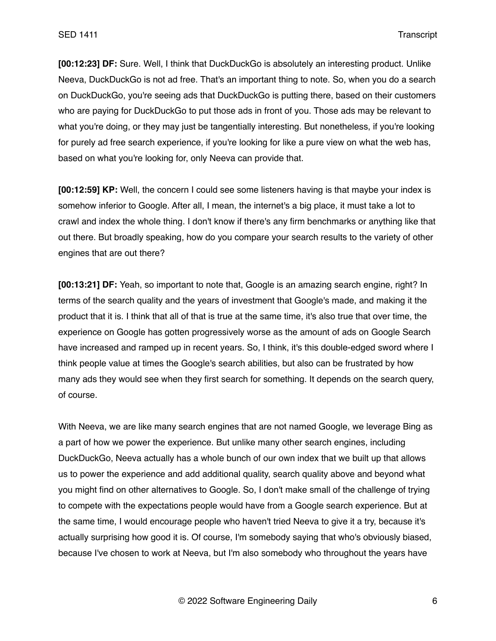**[00:12:23] DF:** Sure. Well, I think that DuckDuckGo is absolutely an interesting product. Unlike Neeva, DuckDuckGo is not ad free. That's an important thing to note. So, when you do a search on DuckDuckGo, you're seeing ads that DuckDuckGo is putting there, based on their customers who are paying for DuckDuckGo to put those ads in front of you. Those ads may be relevant to what you're doing, or they may just be tangentially interesting. But nonetheless, if you're looking for purely ad free search experience, if you're looking for like a pure view on what the web has, based on what you're looking for, only Neeva can provide that.

**[00:12:59] KP:** Well, the concern I could see some listeners having is that maybe your index is somehow inferior to Google. After all, I mean, the internet's a big place, it must take a lot to crawl and index the whole thing. I don't know if there's any firm benchmarks or anything like that out there. But broadly speaking, how do you compare your search results to the variety of other engines that are out there?

**[00:13:21] DF:** Yeah, so important to note that, Google is an amazing search engine, right? In terms of the search quality and the years of investment that Google's made, and making it the product that it is. I think that all of that is true at the same time, it's also true that over time, the experience on Google has gotten progressively worse as the amount of ads on Google Search have increased and ramped up in recent years. So, I think, it's this double-edged sword where I think people value at times the Google's search abilities, but also can be frustrated by how many ads they would see when they first search for something. It depends on the search query, of course.

With Neeva, we are like many search engines that are not named Google, we leverage Bing as a part of how we power the experience. But unlike many other search engines, including DuckDuckGo, Neeva actually has a whole bunch of our own index that we built up that allows us to power the experience and add additional quality, search quality above and beyond what you might find on other alternatives to Google. So, I don't make small of the challenge of trying to compete with the expectations people would have from a Google search experience. But at the same time, I would encourage people who haven't tried Neeva to give it a try, because it's actually surprising how good it is. Of course, I'm somebody saying that who's obviously biased, because I've chosen to work at Neeva, but I'm also somebody who throughout the years have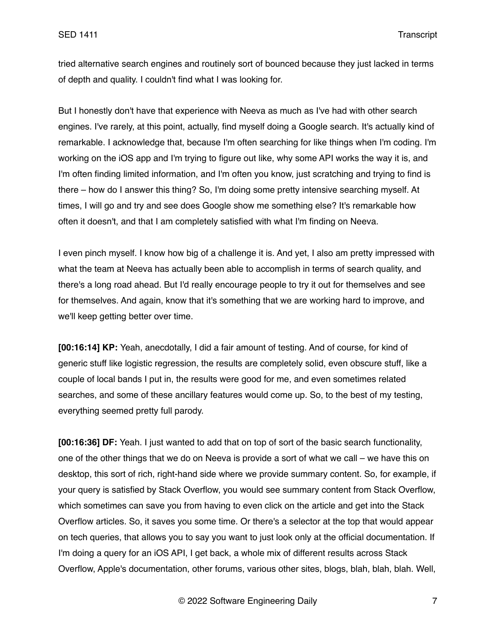tried alternative search engines and routinely sort of bounced because they just lacked in terms of depth and quality. I couldn't find what I was looking for.

But I honestly don't have that experience with Neeva as much as I've had with other search engines. I've rarely, at this point, actually, find myself doing a Google search. It's actually kind of remarkable. I acknowledge that, because I'm often searching for like things when I'm coding. I'm working on the iOS app and I'm trying to figure out like, why some API works the way it is, and I'm often finding limited information, and I'm often you know, just scratching and trying to find is there – how do I answer this thing? So, I'm doing some pretty intensive searching myself. At times, I will go and try and see does Google show me something else? It's remarkable how often it doesn't, and that I am completely satisfied with what I'm finding on Neeva.

I even pinch myself. I know how big of a challenge it is. And yet, I also am pretty impressed with what the team at Neeva has actually been able to accomplish in terms of search quality, and there's a long road ahead. But I'd really encourage people to try it out for themselves and see for themselves. And again, know that it's something that we are working hard to improve, and we'll keep getting better over time.

**[00:16:14] KP:** Yeah, anecdotally, I did a fair amount of testing. And of course, for kind of generic stuff like logistic regression, the results are completely solid, even obscure stuff, like a couple of local bands I put in, the results were good for me, and even sometimes related searches, and some of these ancillary features would come up. So, to the best of my testing, everything seemed pretty full parody.

**[00:16:36] DF:** Yeah. I just wanted to add that on top of sort of the basic search functionality, one of the other things that we do on Neeva is provide a sort of what we call – we have this on desktop, this sort of rich, right-hand side where we provide summary content. So, for example, if your query is satisfied by Stack Overflow, you would see summary content from Stack Overflow, which sometimes can save you from having to even click on the article and get into the Stack Overflow articles. So, it saves you some time. Or there's a selector at the top that would appear on tech queries, that allows you to say you want to just look only at the official documentation. If I'm doing a query for an iOS API, I get back, a whole mix of different results across Stack Overflow, Apple's documentation, other forums, various other sites, blogs, blah, blah, blah. Well,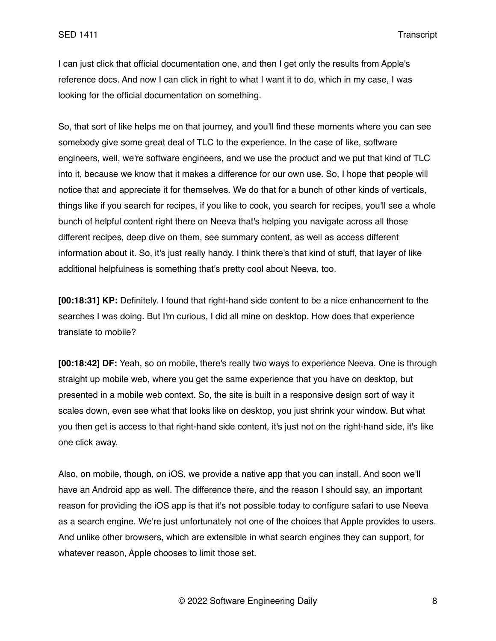I can just click that official documentation one, and then I get only the results from Apple's reference docs. And now I can click in right to what I want it to do, which in my case, I was looking for the official documentation on something.

So, that sort of like helps me on that journey, and you'll find these moments where you can see somebody give some great deal of TLC to the experience. In the case of like, software engineers, well, we're software engineers, and we use the product and we put that kind of TLC into it, because we know that it makes a difference for our own use. So, I hope that people will notice that and appreciate it for themselves. We do that for a bunch of other kinds of verticals, things like if you search for recipes, if you like to cook, you search for recipes, you'll see a whole bunch of helpful content right there on Neeva that's helping you navigate across all those different recipes, deep dive on them, see summary content, as well as access different information about it. So, it's just really handy. I think there's that kind of stuff, that layer of like additional helpfulness is something that's pretty cool about Neeva, too.

**[00:18:31] KP:** Definitely. I found that right-hand side content to be a nice enhancement to the searches I was doing. But I'm curious, I did all mine on desktop. How does that experience translate to mobile?

**[00:18:42] DF:** Yeah, so on mobile, there's really two ways to experience Neeva. One is through straight up mobile web, where you get the same experience that you have on desktop, but presented in a mobile web context. So, the site is built in a responsive design sort of way it scales down, even see what that looks like on desktop, you just shrink your window. But what you then get is access to that right-hand side content, it's just not on the right-hand side, it's like one click away.

Also, on mobile, though, on iOS, we provide a native app that you can install. And soon we'll have an Android app as well. The difference there, and the reason I should say, an important reason for providing the iOS app is that it's not possible today to configure safari to use Neeva as a search engine. We're just unfortunately not one of the choices that Apple provides to users. And unlike other browsers, which are extensible in what search engines they can support, for whatever reason, Apple chooses to limit those set.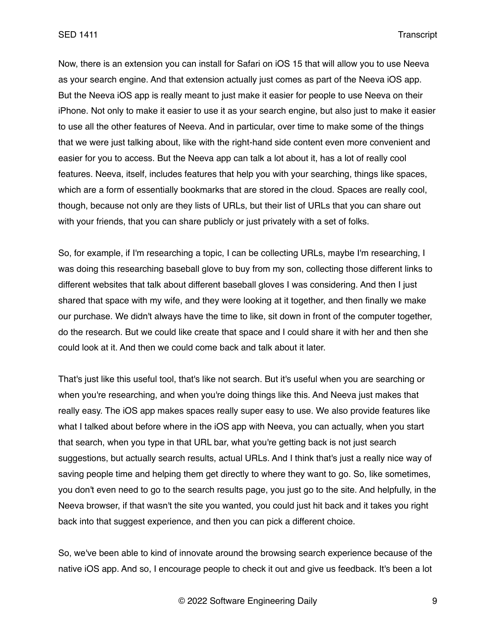Now, there is an extension you can install for Safari on iOS 15 that will allow you to use Neeva as your search engine. And that extension actually just comes as part of the Neeva iOS app. But the Neeva iOS app is really meant to just make it easier for people to use Neeva on their iPhone. Not only to make it easier to use it as your search engine, but also just to make it easier to use all the other features of Neeva. And in particular, over time to make some of the things that we were just talking about, like with the right-hand side content even more convenient and easier for you to access. But the Neeva app can talk a lot about it, has a lot of really cool features. Neeva, itself, includes features that help you with your searching, things like spaces, which are a form of essentially bookmarks that are stored in the cloud. Spaces are really cool, though, because not only are they lists of URLs, but their list of URLs that you can share out with your friends, that you can share publicly or just privately with a set of folks.

So, for example, if I'm researching a topic, I can be collecting URLs, maybe I'm researching, I was doing this researching baseball glove to buy from my son, collecting those different links to different websites that talk about different baseball gloves I was considering. And then I just shared that space with my wife, and they were looking at it together, and then finally we make our purchase. We didn't always have the time to like, sit down in front of the computer together, do the research. But we could like create that space and I could share it with her and then she could look at it. And then we could come back and talk about it later.

That's just like this useful tool, that's like not search. But it's useful when you are searching or when you're researching, and when you're doing things like this. And Neeva just makes that really easy. The iOS app makes spaces really super easy to use. We also provide features like what I talked about before where in the iOS app with Neeva, you can actually, when you start that search, when you type in that URL bar, what you're getting back is not just search suggestions, but actually search results, actual URLs. And I think that's just a really nice way of saving people time and helping them get directly to where they want to go. So, like sometimes, you don't even need to go to the search results page, you just go to the site. And helpfully, in the Neeva browser, if that wasn't the site you wanted, you could just hit back and it takes you right back into that suggest experience, and then you can pick a different choice.

So, we've been able to kind of innovate around the browsing search experience because of the native iOS app. And so, I encourage people to check it out and give us feedback. It's been a lot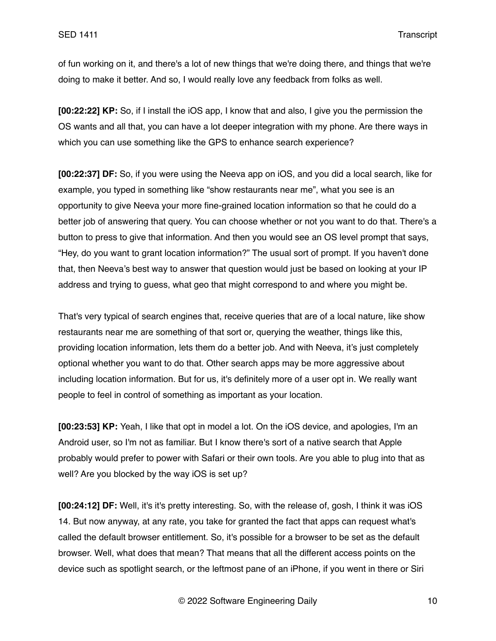of fun working on it, and there's a lot of new things that we're doing there, and things that we're doing to make it better. And so, I would really love any feedback from folks as well.

**[00:22:22] KP:** So, if I install the iOS app, I know that and also, I give you the permission the OS wants and all that, you can have a lot deeper integration with my phone. Are there ways in which you can use something like the GPS to enhance search experience?

**[00:22:37] DF:** So, if you were using the Neeva app on iOS, and you did a local search, like for example, you typed in something like "show restaurants near me", what you see is an opportunity to give Neeva your more fine-grained location information so that he could do a better job of answering that query. You can choose whether or not you want to do that. There's a button to press to give that information. And then you would see an OS level prompt that says, "Hey, do you want to grant location information?" The usual sort of prompt. If you haven't done that, then Neeva's best way to answer that question would just be based on looking at your IP address and trying to guess, what geo that might correspond to and where you might be.

That's very typical of search engines that, receive queries that are of a local nature, like show restaurants near me are something of that sort or, querying the weather, things like this, providing location information, lets them do a better job. And with Neeva, it's just completely optional whether you want to do that. Other search apps may be more aggressive about including location information. But for us, it's definitely more of a user opt in. We really want people to feel in control of something as important as your location.

**[00:23:53] KP:** Yeah, I like that opt in model a lot. On the iOS device, and apologies, I'm an Android user, so I'm not as familiar. But I know there's sort of a native search that Apple probably would prefer to power with Safari or their own tools. Are you able to plug into that as well? Are you blocked by the way iOS is set up?

**[00:24:12] DF:** Well, it's it's pretty interesting. So, with the release of, gosh, I think it was iOS 14. But now anyway, at any rate, you take for granted the fact that apps can request what's called the default browser entitlement. So, it's possible for a browser to be set as the default browser. Well, what does that mean? That means that all the different access points on the device such as spotlight search, or the leftmost pane of an iPhone, if you went in there or Siri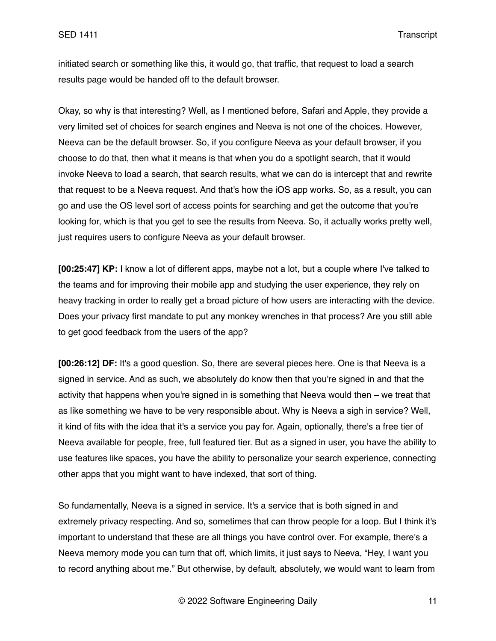initiated search or something like this, it would go, that traffic, that request to load a search results page would be handed off to the default browser.

Okay, so why is that interesting? Well, as I mentioned before, Safari and Apple, they provide a very limited set of choices for search engines and Neeva is not one of the choices. However, Neeva can be the default browser. So, if you configure Neeva as your default browser, if you choose to do that, then what it means is that when you do a spotlight search, that it would invoke Neeva to load a search, that search results, what we can do is intercept that and rewrite that request to be a Neeva request. And that's how the iOS app works. So, as a result, you can go and use the OS level sort of access points for searching and get the outcome that you're looking for, which is that you get to see the results from Neeva. So, it actually works pretty well, just requires users to configure Neeva as your default browser.

**[00:25:47] KP:** I know a lot of different apps, maybe not a lot, but a couple where I've talked to the teams and for improving their mobile app and studying the user experience, they rely on heavy tracking in order to really get a broad picture of how users are interacting with the device. Does your privacy first mandate to put any monkey wrenches in that process? Are you still able to get good feedback from the users of the app?

**[00:26:12] DF:** It's a good question. So, there are several pieces here. One is that Neeva is a signed in service. And as such, we absolutely do know then that you're signed in and that the activity that happens when you're signed in is something that Neeva would then – we treat that as like something we have to be very responsible about. Why is Neeva a sigh in service? Well, it kind of fits with the idea that it's a service you pay for. Again, optionally, there's a free tier of Neeva available for people, free, full featured tier. But as a signed in user, you have the ability to use features like spaces, you have the ability to personalize your search experience, connecting other apps that you might want to have indexed, that sort of thing.

So fundamentally, Neeva is a signed in service. It's a service that is both signed in and extremely privacy respecting. And so, sometimes that can throw people for a loop. But I think it's important to understand that these are all things you have control over. For example, there's a Neeva memory mode you can turn that off, which limits, it just says to Neeva, "Hey, I want you to record anything about me." But otherwise, by default, absolutely, we would want to learn from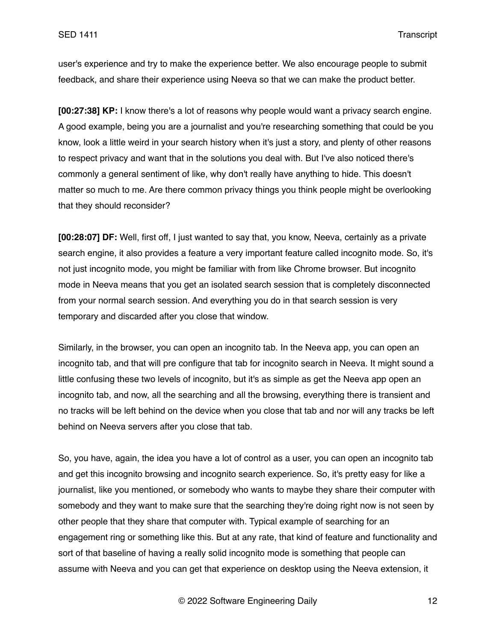user's experience and try to make the experience better. We also encourage people to submit feedback, and share their experience using Neeva so that we can make the product better.

**[00:27:38] KP:** I know there's a lot of reasons why people would want a privacy search engine. A good example, being you are a journalist and you're researching something that could be you know, look a little weird in your search history when it's just a story, and plenty of other reasons to respect privacy and want that in the solutions you deal with. But I've also noticed there's commonly a general sentiment of like, why don't really have anything to hide. This doesn't matter so much to me. Are there common privacy things you think people might be overlooking that they should reconsider?

**[00:28:07] DF:** Well, first off, I just wanted to say that, you know, Neeva, certainly as a private search engine, it also provides a feature a very important feature called incognito mode. So, it's not just incognito mode, you might be familiar with from like Chrome browser. But incognito mode in Neeva means that you get an isolated search session that is completely disconnected from your normal search session. And everything you do in that search session is very temporary and discarded after you close that window.

Similarly, in the browser, you can open an incognito tab. In the Neeva app, you can open an incognito tab, and that will pre configure that tab for incognito search in Neeva. It might sound a little confusing these two levels of incognito, but it's as simple as get the Neeva app open an incognito tab, and now, all the searching and all the browsing, everything there is transient and no tracks will be left behind on the device when you close that tab and nor will any tracks be left behind on Neeva servers after you close that tab.

So, you have, again, the idea you have a lot of control as a user, you can open an incognito tab and get this incognito browsing and incognito search experience. So, it's pretty easy for like a journalist, like you mentioned, or somebody who wants to maybe they share their computer with somebody and they want to make sure that the searching they're doing right now is not seen by other people that they share that computer with. Typical example of searching for an engagement ring or something like this. But at any rate, that kind of feature and functionality and sort of that baseline of having a really solid incognito mode is something that people can assume with Neeva and you can get that experience on desktop using the Neeva extension, it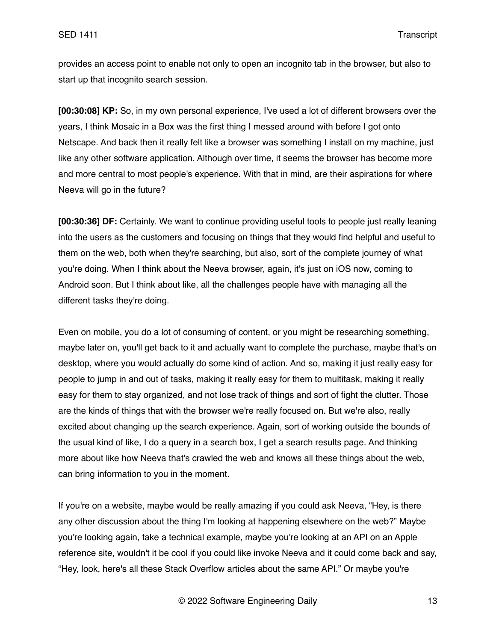provides an access point to enable not only to open an incognito tab in the browser, but also to start up that incognito search session.

**[00:30:08] KP:** So, in my own personal experience, I've used a lot of different browsers over the years, I think Mosaic in a Box was the first thing I messed around with before I got onto Netscape. And back then it really felt like a browser was something I install on my machine, just like any other software application. Although over time, it seems the browser has become more and more central to most people's experience. With that in mind, are their aspirations for where Neeva will go in the future?

**[00:30:36] DF:** Certainly. We want to continue providing useful tools to people just really leaning into the users as the customers and focusing on things that they would find helpful and useful to them on the web, both when they're searching, but also, sort of the complete journey of what you're doing. When I think about the Neeva browser, again, it's just on iOS now, coming to Android soon. But I think about like, all the challenges people have with managing all the different tasks they're doing.

Even on mobile, you do a lot of consuming of content, or you might be researching something, maybe later on, you'll get back to it and actually want to complete the purchase, maybe that's on desktop, where you would actually do some kind of action. And so, making it just really easy for people to jump in and out of tasks, making it really easy for them to multitask, making it really easy for them to stay organized, and not lose track of things and sort of fight the clutter. Those are the kinds of things that with the browser we're really focused on. But we're also, really excited about changing up the search experience. Again, sort of working outside the bounds of the usual kind of like, I do a query in a search box, I get a search results page. And thinking more about like how Neeva that's crawled the web and knows all these things about the web, can bring information to you in the moment.

If you're on a website, maybe would be really amazing if you could ask Neeva, "Hey, is there any other discussion about the thing I'm looking at happening elsewhere on the web?" Maybe you're looking again, take a technical example, maybe you're looking at an API on an Apple reference site, wouldn't it be cool if you could like invoke Neeva and it could come back and say, "Hey, look, here's all these Stack Overflow articles about the same API." Or maybe you're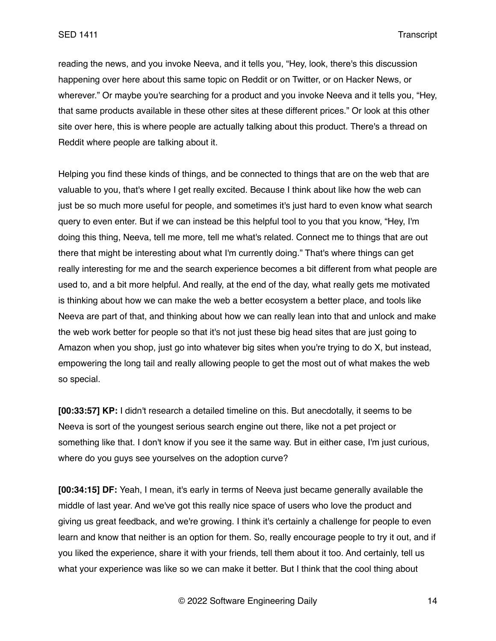reading the news, and you invoke Neeva, and it tells you, "Hey, look, there's this discussion happening over here about this same topic on Reddit or on Twitter, or on Hacker News, or wherever." Or maybe you're searching for a product and you invoke Neeva and it tells you, "Hey, that same products available in these other sites at these different prices." Or look at this other site over here, this is where people are actually talking about this product. There's a thread on Reddit where people are talking about it.

Helping you find these kinds of things, and be connected to things that are on the web that are valuable to you, that's where I get really excited. Because I think about like how the web can just be so much more useful for people, and sometimes it's just hard to even know what search query to even enter. But if we can instead be this helpful tool to you that you know, "Hey, I'm doing this thing, Neeva, tell me more, tell me what's related. Connect me to things that are out there that might be interesting about what I'm currently doing." That's where things can get really interesting for me and the search experience becomes a bit different from what people are used to, and a bit more helpful. And really, at the end of the day, what really gets me motivated is thinking about how we can make the web a better ecosystem a better place, and tools like Neeva are part of that, and thinking about how we can really lean into that and unlock and make the web work better for people so that it's not just these big head sites that are just going to Amazon when you shop, just go into whatever big sites when you're trying to do X, but instead, empowering the long tail and really allowing people to get the most out of what makes the web so special.

**[00:33:57] KP:** I didn't research a detailed timeline on this. But anecdotally, it seems to be Neeva is sort of the youngest serious search engine out there, like not a pet project or something like that. I don't know if you see it the same way. But in either case, I'm just curious, where do you guys see yourselves on the adoption curve?

**[00:34:15] DF:** Yeah, I mean, it's early in terms of Neeva just became generally available the middle of last year. And we've got this really nice space of users who love the product and giving us great feedback, and we're growing. I think it's certainly a challenge for people to even learn and know that neither is an option for them. So, really encourage people to try it out, and if you liked the experience, share it with your friends, tell them about it too. And certainly, tell us what your experience was like so we can make it better. But I think that the cool thing about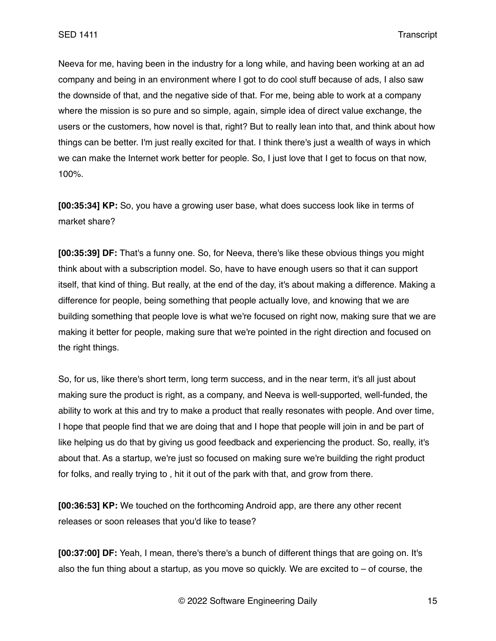Neeva for me, having been in the industry for a long while, and having been working at an ad company and being in an environment where I got to do cool stuff because of ads, I also saw the downside of that, and the negative side of that. For me, being able to work at a company where the mission is so pure and so simple, again, simple idea of direct value exchange, the users or the customers, how novel is that, right? But to really lean into that, and think about how things can be better. I'm just really excited for that. I think there's just a wealth of ways in which we can make the Internet work better for people. So, I just love that I get to focus on that now, 100%.

**[00:35:34] KP:** So, you have a growing user base, what does success look like in terms of market share?

**[00:35:39] DF:** That's a funny one. So, for Neeva, there's like these obvious things you might think about with a subscription model. So, have to have enough users so that it can support itself, that kind of thing. But really, at the end of the day, it's about making a difference. Making a difference for people, being something that people actually love, and knowing that we are building something that people love is what we're focused on right now, making sure that we are making it better for people, making sure that we're pointed in the right direction and focused on the right things.

So, for us, like there's short term, long term success, and in the near term, it's all just about making sure the product is right, as a company, and Neeva is well-supported, well-funded, the ability to work at this and try to make a product that really resonates with people. And over time, I hope that people find that we are doing that and I hope that people will join in and be part of like helping us do that by giving us good feedback and experiencing the product. So, really, it's about that. As a startup, we're just so focused on making sure we're building the right product for folks, and really trying to , hit it out of the park with that, and grow from there.

**[00:36:53] KP:** We touched on the forthcoming Android app, are there any other recent releases or soon releases that you'd like to tease?

**[00:37:00] DF:** Yeah, I mean, there's there's a bunch of different things that are going on. It's also the fun thing about a startup, as you move so quickly. We are excited to  $-$  of course, the

© 2022 Software Engineering Daily 15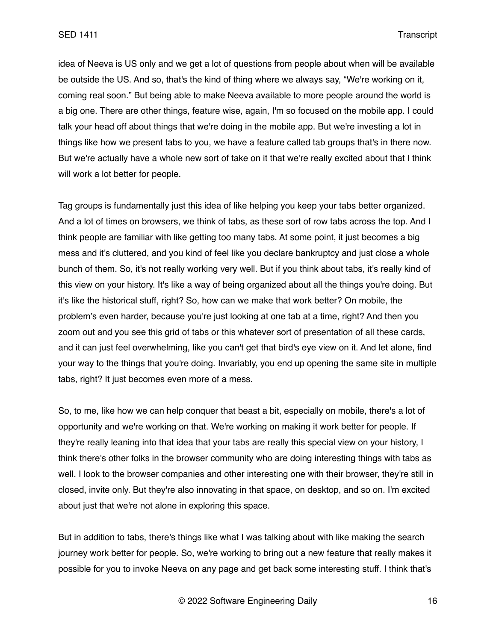idea of Neeva is US only and we get a lot of questions from people about when will be available be outside the US. And so, that's the kind of thing where we always say, "We're working on it, coming real soon." But being able to make Neeva available to more people around the world is a big one. There are other things, feature wise, again, I'm so focused on the mobile app. I could talk your head off about things that we're doing in the mobile app. But we're investing a lot in things like how we present tabs to you, we have a feature called tab groups that's in there now. But we're actually have a whole new sort of take on it that we're really excited about that I think will work a lot better for people.

Tag groups is fundamentally just this idea of like helping you keep your tabs better organized. And a lot of times on browsers, we think of tabs, as these sort of row tabs across the top. And I think people are familiar with like getting too many tabs. At some point, it just becomes a big mess and it's cluttered, and you kind of feel like you declare bankruptcy and just close a whole bunch of them. So, it's not really working very well. But if you think about tabs, it's really kind of this view on your history. It's like a way of being organized about all the things you're doing. But it's like the historical stuff, right? So, how can we make that work better? On mobile, the problem's even harder, because you're just looking at one tab at a time, right? And then you zoom out and you see this grid of tabs or this whatever sort of presentation of all these cards, and it can just feel overwhelming, like you can't get that bird's eye view on it. And let alone, find your way to the things that you're doing. Invariably, you end up opening the same site in multiple tabs, right? It just becomes even more of a mess.

So, to me, like how we can help conquer that beast a bit, especially on mobile, there's a lot of opportunity and we're working on that. We're working on making it work better for people. If they're really leaning into that idea that your tabs are really this special view on your history, I think there's other folks in the browser community who are doing interesting things with tabs as well. I look to the browser companies and other interesting one with their browser, they're still in closed, invite only. But they're also innovating in that space, on desktop, and so on. I'm excited about just that we're not alone in exploring this space.

But in addition to tabs, there's things like what I was talking about with like making the search journey work better for people. So, we're working to bring out a new feature that really makes it possible for you to invoke Neeva on any page and get back some interesting stuff. I think that's